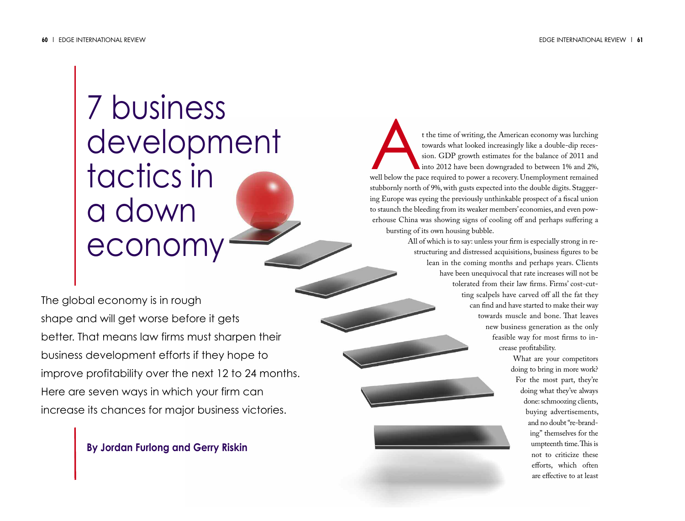# 7 business development tactics in a down economy

The global economy is in rough shape and will get worse before it gets better. That means law firms must sharpen their business development efforts if they hope to improve profitability over the next 12 to 24 months. Here are seven ways in which your firm can increase its chances for major business victories.

## **By Jordan Furlong and Gerry Riskin**

t the time of writing, the American economy was lurching<br>towards what looked increasingly like a double-dip reces-<br>sion. GDP growth estimates for the balance of 2011 and<br>into 2012 have been downgraded to between 1% and 2%, towards what looked increasingly like a double-dip recession. GDP growth estimates for the balance of 2011 and into 2012 have been downgraded to between 1% and 2%, stubbornly north of 9%, with gusts expected into the double digits. Staggering Europe was eyeing the previously unthinkable prospect of a fiscal union to staunch the bleeding from its weaker members' economies, and even powerhouse China was showing signs of cooling off and perhaps suffering a bursting of its own housing bubble.

> All of which is to say: unless your firm is especially strong in restructuring and distressed acquisitions, business figures to be lean in the coming months and perhaps years. Clients have been unequivocal that rate increases will not be tolerated from their law firms. Firms' cost-cutting scalpels have carved off all the fat they can find and have started to make their way towards muscle and bone. That leaves new business generation as the only feasible way for most firms to increase profitability.

> > What are your competitors doing to bring in more work? For the most part, they're doing what they've always done: schmoozing clients, buying advertisements, and no doubt"re-branding" themselves for the umpteenth time. This is not to criticize these efforts, which often are effective to at least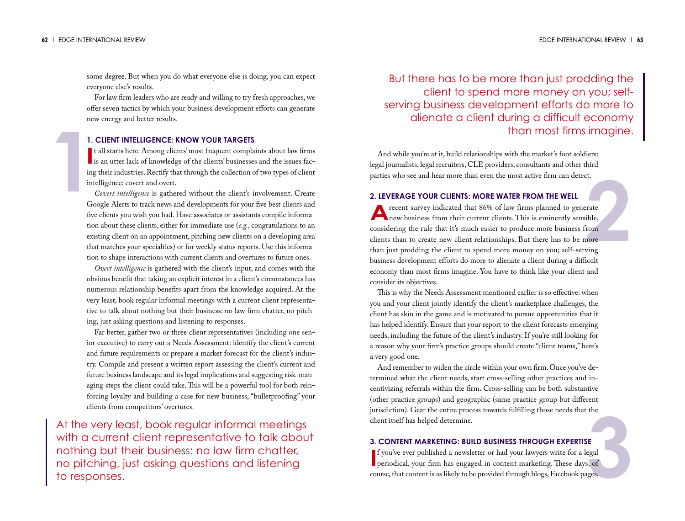some degree. But when you do what everyone else is doing, you can expect everyone else's results.

For law firm leaders who are ready and willing to try fresh approaches, we offer seven tactics by which your business development efforts can generate new energy and better results.

### **1. CLIENT INTELLIGENCE: KNOW YOUR TARGETS**

If all starts here. Among clients' most frequent complaints about law firms<br>is an utter lack of knowledge of the clients' businesses and the issues fact all starts here. Among clients' most frequent complaints about law firms ing their industries. Rectify that through the collection of two types of client intelligence: covert and overt.

**<sup>2</sup> <sup>1</sup>** *Covert intelligence* is gathered without the client's involvement. Create Google Alerts to track news and developments for your five best clients and five clients you wish you had. Have associates or assistants compile information about these clients, either for immediate use (*e.g.*, congratulations to an existing client on an appointment, pitching new clients on a developing area that matches your specialties) or for weekly status reports. Use this information to shape interactions with current clients and overtures to future ones.

*Overt intelligence* is gathered with the client's input, and comes with the obvious benefit that taking an explicit interest in a client's circumstances has numerous relationship benefits apart from the knowledge acquired. At the very least, book regular informal meetings with a current client representative to talk about nothing but their business: no law firm chatter, no pitching, just asking questions and listening to responses.

Far better, gather two or three client representatives (including one senior executive) to carry out a Needs Assessment: identify the client's current and future requirements or prepare a market forecast for the client's industry. Compile and present a written report assessing the client's current and future business landscape and its legal implications and suggesting risk-managing steps the client could take. This will be a powerful tool for both reinforcing loyalty and building a case for new business, "bulletproofing" your clients from competitors' overtures.

At the very least, book regular informal meetings with a current client representative to talk about nothing but their business: no law firm chatter, no pitching, just asking questions and listening to responses.

But there has to be more than just prodding the client to spend more money on you; selfserving business development efforts do more to alienate a client during a difficult economy than most firms imagine.

And while you're at it, build relationships with the market's foot soldiers: legal journalists, legal recruiters, CLE providers, consultants and other third parties who see and hear more than even the most active firm can detect.

#### **2. LEVERAGE YOUR CLIENTS: MORE WATER FROM THE WELL**

**A**recent survey indicated that 86% of law firms planned to generate<br>new business from their current clients. This is eminently sensible, considering the rule that it's much easier to produce more business from clients than to create new client relationships. But there has to be more than just prodding the client to spend more money on you; self-serving business development efforts do more to alienate a client during a difficult economy than most firms imagine. You have to think like your client and consider its objectives.

This is why the Needs Assessment mentioned earlier is so effective: when you and your client jointly identify the client's marketplace challenges, the client has skin in the game and is motivated to pursue opportunities that it has helped identify.Ensure that your report to the client forecasts emerging needs, including the future of the client's industry. If you're still looking for a reason why your firm's practice groups should create "client teams," here's a very good one.

And remember to widen the circle within your own firm. Once you've determined what the client needs, start cross-selling other practices and incentivizing referrals within the firm. Cross-selling can be both substantive (other practice groups) and geographic (same practice group but different jurisdiction). Gear the entire process towards fulfilling those needs that the client itself has helped determine.

#### **3. CONTENT MARKETING: BUILD BUSINESS THROUGH EXPERTISE**

tne<br>**3E**<br>egal<br>s, of<br>ges, **I** fyou've ever published a newsletter or had your lawyers write for a legal periodical, your firm has engaged in content marketing. These days, of f you've ever published a newsletter or had your lawyers write for a legal course, that content is as likely to be provided through blogs, Facebook pages,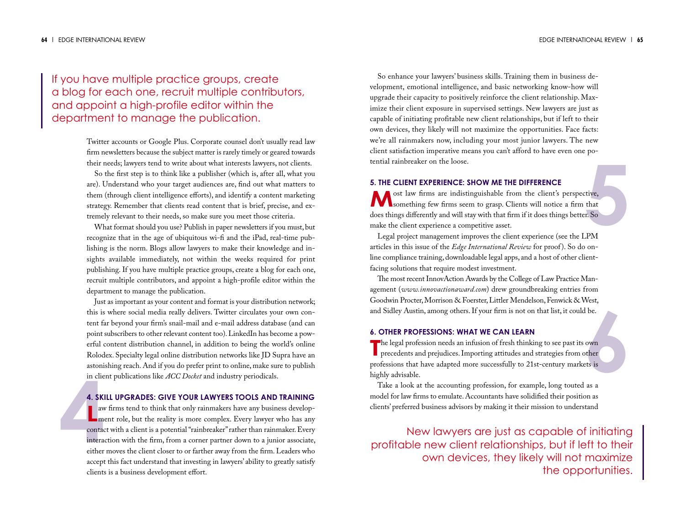If you have multiple practice groups, create a blog for each one, recruit multiple contributors, and appoint a high-profile editor within the department to manage the publication.

> Twitter accounts or Google Plus. Corporate counsel don't usually read law firm newsletters because the subject matter is rarely timely or geared towards their needs; lawyers tend to write about what interests lawyers, not clients.

> So the first step is to think like a publisher (which is, after all, what you are). Understand who your target audiences are, find out what matters to them (through client intelligence efforts), and identify a content marketing strategy. Remember that clients read content that is brief, precise, and extremely relevant to their needs, so make sure you meet those criteria.

> What format should you use? Publish in paper newsletters if you must, but recognize that in the age of ubiquitous wi-fi and the iPad, real-time publishing is the norm. Blogs allow lawyers to make their knowledge and insights available immediately, not within the weeks required for print publishing. If you have multiple practice groups, create a blog for each one, recruit multiple contributors, and appoint a high-profile editor within the department to manage the publication.

> Just as important as your content and format is your distribution network; this is where social media really delivers. Twitter circulates your own content far beyond your firm's snail-mail and e-mail address database (and can point subscribers to other relevant content too). LinkedIn has become a powerful content distribution channel, in addition to being the world's online Rolodex. Specialty legal online distribution networks like JD Supra have an astonishing reach. And if you do prefer print to online, make sure to publish in client publications like *ACC Docket* and industry periodicals.

#### **4. SKILL UPGRADES: GIVE YOUR LAWYERS TOOLS AND TRAINING**

in clie<br>
4. SKI<br>
aw<br>
mo<br>
contac<br>
interac<br>
either **LEVER REAL PROPERT PROPERT PROPERTY.**<br>
The reality is more complex. Every lawyer who has any aw firms tend to think that only rainmakers have any business developcontact with a client is a potential "rainbreaker" rather than rainmaker. Every interaction with the firm, from a corner partner down to a junior associate, either moves the client closer to or farther away from the firm.Leaders who accept this fact understand that investing in lawyers' ability to greatly satisfy clients is a business development effort.

So enhance your lawyers' business skills. Training them in business development, emotional intelligence, and basic networking know-how will upgrade their capacity to positively reinforce the client relationship. Maximize their client exposure in supervised settings. New lawyers are just as capable of initiating profitable new client relationships, but if left to their own devices, they likely will not maximize the opportunities. Face facts: we're all rainmakers now, including your most junior lawyers. The new client satisfaction imperative means you can't afford to have even one potential rainbreaker on the loose.

#### **5. THE CLIENT EXPERIENCE: SHOW ME THE DIFFERENCE**

tive,<br>that<br>F. So<br>PM **M** ost law firms are indistinguishable from the client's perspective,<br>something few firms seem to grasp. Clients will notice a firm that does things differently and will stay with that firm if it does things better. So make the client experience a competitive asset.

Legal project management improves the client experience (see the LPM articles in this issue of the *Edge International Review* for proof). So do online compliance training, downloadable legal apps, and a host of other clientfacing solutions that require modest investment.

The most recent InnovAction Awards by the College of Law Practice Management (*www.innovactionaward.com*) drew groundbreaking entries from Goodwin Procter, Morrison & Foerster, Littler Mendelson, Fenwick & West, and Sidley Austin, among others.If your firm is not on that list, it could be.

#### **6. OTHER PROFESSIONS: WHAT WE CAN LEARN**

**6** The legal profession needs an infusion of fresh thinking to see past its own<br>precedents and prejudices. Importing attitudes and strategies from other **h** the legal profession needs an infusion of fresh thinking to see past its own professions that have adapted more successfully to 21st-century markets is highly advisable.

Take a look at the accounting profession, for example, long touted as a model for law firms to emulate.Accountants have solidified their position as clients' preferred business advisors by making it their mission to understand

New lawyers are just as capable of initiating profitable new client relationships, but if left to their own devices, they likely will not maximize the opportunities.